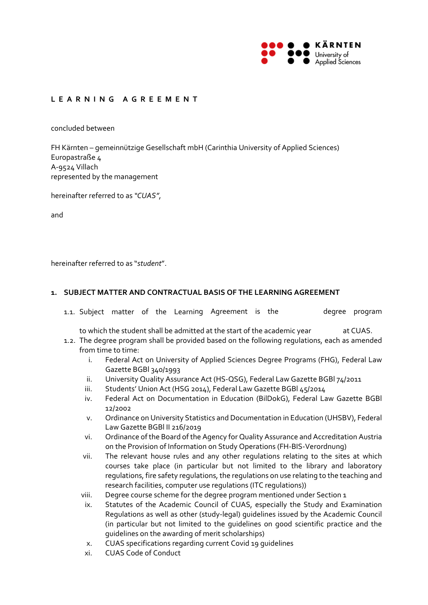

# **LEARNING AGREEMENT**

concluded between

FH Kärnten – gemeinnützige Gesellschaft mbH (Carinthia University of Applied Sciences) Europastraße 4 A‐9524 Villach represented by the management

hereinafter referred to as *"CUAS"*,

and

hereinafter referred to as "*student*".

#### **1. SUBJECT MATTER AND CONTRACTUAL BASIS OF THE LEARNING AGREEMENT**

1.1. Subject matter of the Learning Agreement is the The degree program

to which the student shall be admitted at the start of the academic year at CUAS.

- 1.2. The degree program shall be provided based on the following regulations, each as amended from time to time:
	- i. Federal Act on University of Applied Sciences Degree Programs (FHG), Federal Law Gazette BGBl 340/1993
	- ii. University Quality Assurance Act (HS‐QSG), Federal Law Gazette BGBl 74/2011
	- iii. Students' Union Act (HSG 2014), Federal Law Gazette BGBI 45/2014
	- iv. Federal Act on Documentation in Education (BilDokG), Federal Law Gazette BGBl 12/2002
	- v. Ordinance on University Statistics and Documentation in Education (UHSBV), Federal Law Gazette BGBl II 216/2019
	- vi. Ordinance of the Board of the Agency for Quality Assurance and Accreditation Austria on the Provision of Information on Study Operations (FH‐BIS‐Verordnung)
	- vii. The relevant house rules and any other regulations relating to the sites at which courses take place (in particular but not limited to the library and laboratory regulations, fire safety regulations, the regulations on use relating to the teaching and research facilities, computer use regulations (ITC regulations))
	- viii. Degree course scheme for the degree program mentioned under Section 1
	- ix. Statutes of the Academic Council of CUAS, especially the Study and Examination Regulations as well as other (study‐legal) guidelines issued by the Academic Council (in particular but not limited to the guidelines on good scientific practice and the guidelines on the awarding of merit scholarships)
	- x. CUAS specifications regarding current Covid 19 guidelines
	- xi. CUAS Code of Conduct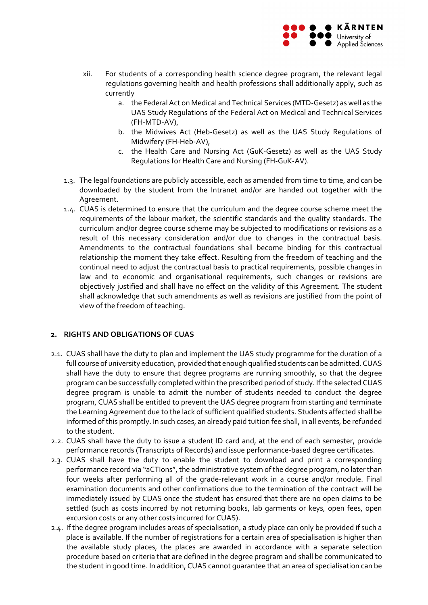

- xii. For students of a corresponding health science degree program, the relevant legal regulations governing health and health professions shall additionally apply, such as currently
	- a. the Federal Act on Medical and Technical Services (MTD‐Gesetz) as well as the UAS Study Regulations of the Federal Act on Medical and Technical Services (FH‐MTD‐AV),
	- b. the Midwives Act (Heb‐Gesetz) as well as the UAS Study Regulations of Midwifery (FH‐Heb‐AV),
	- c. the Health Care and Nursing Act (GuK‐Gesetz) as well as the UAS Study Regulations for Health Care and Nursing (FH‐GuK‐AV).
- 1.3. The legal foundations are publicly accessible, each as amended from time to time, and can be downloaded by the student from the Intranet and/or are handed out together with the Agreement.
- 1.4. CUAS is determined to ensure that the curriculum and the degree course scheme meet the requirements of the labour market, the scientific standards and the quality standards. The curriculum and/or degree course scheme may be subjected to modifications or revisions as a result of this necessary consideration and/or due to changes in the contractual basis. Amendments to the contractual foundations shall become binding for this contractual relationship the moment they take effect. Resulting from the freedom of teaching and the continual need to adjust the contractual basis to practical requirements, possible changes in law and to economic and organisational requirements, such changes or revisions are objectively justified and shall have no effect on the validity of this Agreement. The student shall acknowledge that such amendments as well as revisions are justified from the point of view of the freedom of teaching.

# **2. RIGHTS AND OBLIGATIONS OF CUAS**

- 2.1. CUAS shall have the duty to plan and implement the UAS study programme for the duration of a full course of university education, provided that enough qualified students can be admitted. CUAS shall have the duty to ensure that degree programs are running smoothly, so that the degree program can be successfully completed within the prescribed period of study. If the selected CUAS degree program is unable to admit the number of students needed to conduct the degree program, CUAS shall be entitled to prevent the UAS degree program from starting and terminate the Learning Agreement due to the lack of sufficient qualified students. Students affected shall be informed of this promptly. In such cases, an already paid tuition fee shall, in all events, be refunded to the student.
- 2.2. CUAS shall have the duty to issue a student ID card and, at the end of each semester, provide performance records (Transcripts of Records) and issue performance‐based degree certificates.
- 2.3. CUAS shall have the duty to enable the student to download and print a corresponding performance record via "aCTIons", the administrative system of the degree program, no later than four weeks after performing all of the grade‐relevant work in a course and/or module. Final examination documents and other confirmations due to the termination of the contract will be immediately issued by CUAS once the student has ensured that there are no open claims to be settled (such as costs incurred by not returning books, lab garments or keys, open fees, open excursion costs or any other costs incurred for CUAS).
- 2.4. If the degree program includes areas of specialisation, a study place can only be provided if such a place is available. If the number of registrations for a certain area of specialisation is higher than the available study places, the places are awarded in accordance with a separate selection procedure based on criteria that are defined in the degree program and shall be communicated to the student in good time. In addition, CUAS cannot guarantee that an area of specialisation can be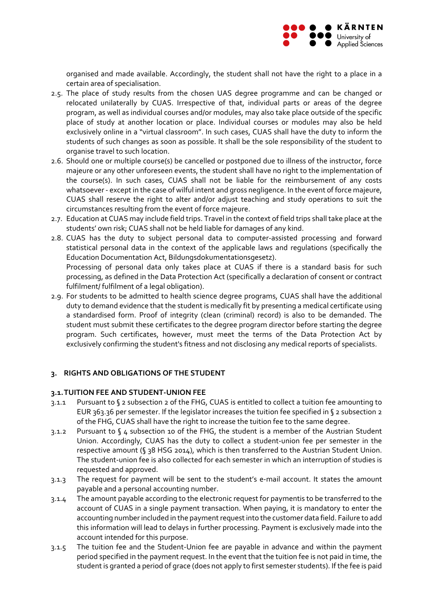

organised and made available. Accordingly, the student shall not have the right to a place in a certain area of specialisation.

- 2.5. The place of study results from the chosen UAS degree programme and can be changed or relocated unilaterally by CUAS. Irrespective of that, individual parts or areas of the degree program, as well as individual courses and/or modules, may also take place outside of the specific place of study at another location or place. Individual courses or modules may also be held exclusively online in a "virtual classroom". In such cases, CUAS shall have the duty to inform the students of such changes as soon as possible. It shall be the sole responsibility of the student to organise travel to such location.
- 2.6. Should one or multiple course(s) be cancelled or postponed due to illness of the instructor, force majeure or any other unforeseen events, the student shall have no right to the implementation of the course(s). In such cases, CUAS shall not be liable for the reimbursement of any costs whatsoever - except in the case of wilful intent and gross negligence. In the event of force majeure, CUAS shall reserve the right to alter and/or adjust teaching and study operations to suit the circumstances resulting from the event of force majeure.
- 2.7. Education at CUAS may include field trips. Travel in the context of field trips shall take place at the students' own risk; CUAS shall not be held liable for damages of any kind.
- 2.8. CUAS has the duty to subject personal data to computer‐assisted processing and forward statistical personal data in the context of the applicable laws and regulations (specifically the Education Documentation Act, Bildungsdokumentationsgesetz). Processing of personal data only takes place at CUAS if there is a standard basis for such processing, as defined in the Data Protection Act (specifically a declaration of consent or contract fulfilment/ fulfilment of a legal obligation).
- 2.9. For students to be admitted to health science degree programs, CUAS shall have the additional duty to demand evidence that the student is medically fit by presenting a medical certificate using a standardised form. Proof of integrity (clean (criminal) record) is also to be demanded. The student must submit these certificates to the degree program director before starting the degree program. Such certificates, however, must meet the terms of the Data Protection Act by exclusively confirming the student's fitness and not disclosing any medical reports of specialists.

# **3. RIGHTS AND OBLIGATIONS OF THE STUDENT**

#### **3.1.TUITION FEE AND STUDENT‐UNION FEE**

- 3.1.1 Pursuant to § 2 subsection 2 of the FHG, CUAS is entitled to collect a tuition fee amounting to EUR 363.36 per semester. If the legislator increases the tuition fee specified in § 2 subsection 2 of the FHG, CUAS shall have the right to increase the tuition fee to the same degree.
- 3.1.2 Pursuant to § 4 subsection 10 of the FHG, the student is a member of the Austrian Student Union. Accordingly, CUAS has the duty to collect a student‐union fee per semester in the respective amount (§ 38 HSG 2014), which is then transferred to the Austrian Student Union. The student-union fee is also collected for each semester in which an interruption of studies is requested and approved.
- 3.1.3 The request for payment will be sent to the student's e‐mail account. It states the amount payable and a personal accounting number.
- 3.1.4 The amount payable according to the electronic request for paymentis to be transferred to the account of CUAS in a single payment transaction. When paying, it is mandatory to enter the accounting number included in the payment request into the customer data field. Failure to add this information will lead to delays in further processing. Payment is exclusively made into the account intended for this purpose.
- 3.1.5 The tuition fee and the Student-Union fee are payable in advance and within the payment period specified in the payment request. In the event that the tuition fee is not paid in time, the student is granted a period of grace (does not apply to first semester students). If the fee is paid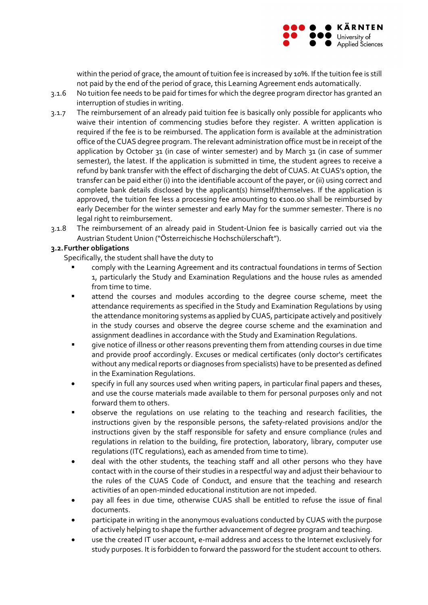

within the period of grace, the amount of tuition fee is increased by 10%. If the tuition fee is still not paid by the end of the period of grace, this Learning Agreement ends automatically.

- 3.1.6 No tuition fee needs to be paid for times for which the degree program director has granted an interruption of studies in writing.
- 3.1.7 The reimbursement of an already paid tuition fee is basically only possible for applicants who waive their intention of commencing studies before they register. A written application is required if the fee is to be reimbursed. The application form is available at the administration office ofthe CUAS degree program. The relevant administration office must be in receipt ofthe application by October 31 (in case of winter semester) and by March 31 (in case of summer semester), the latest. If the application is submitted in time, the student agrees to receive a refund by bank transfer with the effect of discharging the debt of CUAS. At CUAS's option, the transfer can be paid either (i) into the identifiable account of the payer, or (ii) using correct and complete bank details disclosed by the applicant(s) himself/themselves. If the application is approved, the tuition fee less a processing fee amounting to €100.00 shall be reimbursed by early December for the winter semester and early May for the summer semester. There is no legal right to reimbursement.
- 3.1.8 The reimbursement of an already paid in Student‐Union fee is basically carried out via the Austrian Student Union ("Österreichische Hochschülerschaft").

## **3.2.Further obligations**

Specifically, the student shall have the duty to

- comply with the Learning Agreement and its contractual foundations in terms of Section 1, particularly the Study and Examination Regulations and the house rules as amended from time to time.
- attend the courses and modules according to the degree course scheme, meet the attendance requirements as specified in the Study and Examination Regulations by using the attendance monitoring systems as applied by CUAS, participate actively and positively in the study courses and observe the degree course scheme and the examination and assignment deadlines in accordance with the Study and Examination Regulations.
- give notice of illness or other reasons preventing them from attending courses in due time and provide proof accordingly. Excuses or medical certificates (only doctor's certificates without any medical reports or diagnoses from specialists) have to be presented as defined in the Examination Regulations.
- specify in full any sources used when writing papers, in particular final papers and theses, and use the course materials made available to them for personal purposes only and not forward them to others.
- observe the regulations on use relating to the teaching and research facilities, the instructions given by the responsible persons, the safety-related provisions and/or the instructions given by the staff responsible for safety and ensure compliance (rules and regulations in relation to the building, fire protection, laboratory, library, computer use regulations (ITC regulations), each as amended from time to time).
- deal with the other students, the teaching staff and all other persons who they have contact with in the course of their studies in a respectful way and adjust their behaviour to the rules of the CUAS Code of Conduct, and ensure that the teaching and research activities of an open‐minded educational institution are not impeded.
- pay all fees in due time, otherwise CUAS shall be entitled to refuse the issue of final documents.
- participate in writing in the anonymous evaluations conducted by CUAS with the purpose of actively helping to shape the further advancement of degree program and teaching.
- use the created IT user account, e‐mail address and access to the Internet exclusively for study purposes. It is forbidden to forward the password for the student account to others.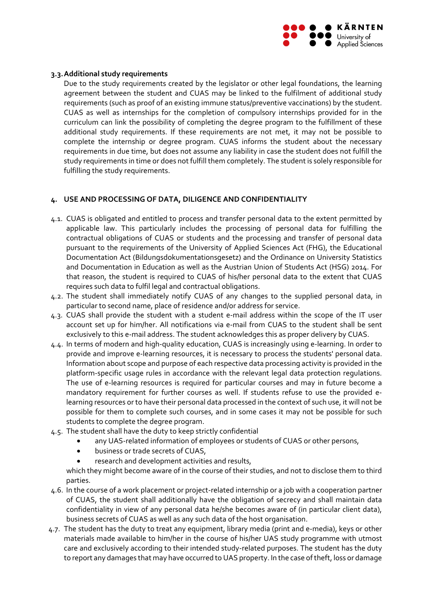

## **3.3.Additional study requirements**

Due to the study requirements created by the legislator or other legal foundations, the learning agreement between the student and CUAS may be linked to the fulfilment of additional study requirements (such as proof of an existing immune status/preventive vaccinations) by the student. CUAS as well as internships for the completion of compulsory internships provided for in the curriculum can link the possibility of completing the degree program to the fulfillment of these additional study requirements. If these requirements are not met, it may not be possible to complete the internship or degree program. CUAS informs the student about the necessary requirements in due time, but does not assume any liability in case the student does not fulfill the study requirements in time or does not fulfill them completely. The student is solely responsible for fulfilling the study requirements.

## **4. USE AND PROCESSING OF DATA, DILIGENCE AND CONFIDENTIALITY**

- 4.1. CUAS is obligated and entitled to process and transfer personal data to the extent permitted by applicable law. This particularly includes the processing of personal data for fulfilling the contractual obligations of CUAS or students and the processing and transfer of personal data pursuant to the requirements of the University of Applied Sciences Act (FHG), the Educational Documentation Act (Bildungsdokumentationsgesetz) and the Ordinance on University Statistics and Documentation in Education as well as the Austrian Union of Students Act (HSG) 2014. For that reason, the student is required to CUAS of his/her personal data to the extent that CUAS requires such data to fulfil legal and contractual obligations.
- 4.2. The student shall immediately notify CUAS of any changes to the supplied personal data, in particular to second name, place of residence and/or address for service.
- 4.3. CUAS shall provide the student with a student e‐mail address within the scope of the IT user account set up for him/her. All notifications via e-mail from CUAS to the student shall be sent exclusively to this e‐mail address. The student acknowledges this as proper delivery by CUAS.
- 4.4. In terms of modern and high‐quality education, CUAS is increasingly using e‐learning. In order to provide and improve e-learning resources, it is necessary to process the students' personal data. Information about scope and purpose of each respective data processing activity is provided in the platform‐specific usage rules in accordance with the relevant legal data protection regulations. The use of e-learning resources is required for particular courses and may in future become a mandatory requirement for further courses as well. If students refuse to use the provided e‐ learning resources or to have their personal data processed in the context of such use, it will not be possible for them to complete such courses, and in some cases it may not be possible for such students to complete the degree program.
- 4.5. The student shall have the duty to keep strictly confidential
	- any UAS‐related information of employees or students of CUAS or other persons,
	- business or trade secrets of CUAS,
	- research and development activities and results,

which they might become aware of in the course of their studies, and not to disclose them to third parties.

- 4.6. In the course of a work placement or project‐related internship or a job with a cooperation partner of CUAS, the student shall additionally have the obligation of secrecy and shall maintain data confidentiality in view of any personal data he/she becomes aware of (in particular client data), business secrets of CUAS as well as any such data of the host organisation.
- 4.7. The student has the duty to treat any equipment, library media (print and e‐media), keys or other materials made available to him/her in the course of his/her UAS study programme with utmost care and exclusively according to their intended study-related purposes. The student has the duty to report any damages that may have occurred to UAS property. In the case of theft, loss or damage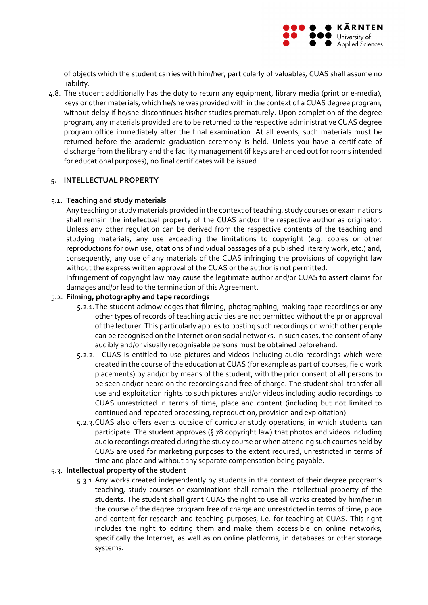

of objects which the student carries with him/her, particularly of valuables, CUAS shall assume no liability.

4.8. The student additionally has the duty to return any equipment, library media (print or e‐media), keys or other materials, which he/she was provided with in the context of a CUAS degree program, without delay if he/she discontinues his/her studies prematurely. Upon completion of the degree program, any materials provided are to be returned to the respective administrative CUAS degree program office immediately after the final examination. At all events, such materials must be returned before the academic graduation ceremony is held. Unless you have a certificate of discharge from the library and the facility management (if keys are handed out for rooms intended for educational purposes), no final certificates will be issued.

## **5. INTELLECTUAL PROPERTY**

## 5.1. **Teaching and study materials**

Any teaching or study materials provided in the context of teaching, study courses or examinations shall remain the intellectual property of the CUAS and/or the respective author as originator. Unless any other regulation can be derived from the respective contents of the teaching and studying materials, any use exceeding the limitations to copyright (e.g. copies or other reproductions for own use, citations of individual passages of a published literary work, etc.) and, consequently, any use of any materials of the CUAS infringing the provisions of copyright law without the express written approval of the CUAS or the author is not permitted.

Infringement of copyright law may cause the legitimate author and/or CUAS to assert claims for damages and/or lead to the termination of this Agreement.

## 5.2. **Filming, photography and tape recordings**

- 5.2.1.The student acknowledges that filming, photographing, making tape recordings or any other types of records of teaching activities are not permitted without the prior approval of the lecturer. This particularly applies to posting such recordings on which other people can be recognised on the Internet or on social networks. In such cases, the consent of any audibly and/or visually recognisable persons must be obtained beforehand.
- 5.2.2. CUAS is entitled to use pictures and videos including audio recordings which were created in the course of the education at CUAS (for example as part of courses, field work placements) by and/or by means of the student, with the prior consent of all persons to be seen and/or heard on the recordings and free of charge. The student shall transfer all use and exploitation rights to such pictures and/or videos including audio recordings to CUAS unrestricted in terms of time, place and content (including but not limited to continued and repeated processing, reproduction, provision and exploitation).
- 5.2.3.CUAS also offers events outside of curricular study operations, in which students can participate. The student approves (§ 78 copyright law) that photos and videos including audio recordings created during the study course or when attending such courses held by CUAS are used for marketing purposes to the extent required, unrestricted in terms of time and place and without any separate compensation being payable.

#### 5.3. **Intellectual property of the student**

5.3.1.Any works created independently by students in the context of their degree program's teaching, study courses or examinations shall remain the intellectual property of the students. The student shall grant CUAS the right to use all works created by him/her in the course of the degree program free of charge and unrestricted in terms of time, place and content for research and teaching purposes, i.e. for teaching at CUAS. This right includes the right to editing them and make them accessible on online networks, specifically the Internet, as well as on online platforms, in databases or other storage systems.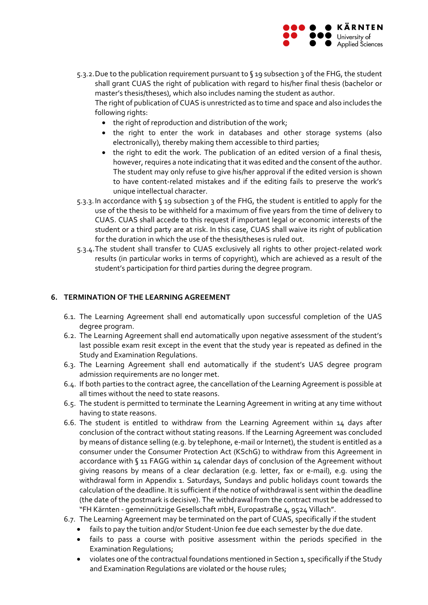

5.3.2. Due to the publication requirement pursuant to §19 subsection 3 of the FHG, the student shall grant CUAS the right of publication with regard to his/her final thesis (bachelor or master's thesis/theses), which also includes naming the student as author.

The right of publication of CUAS is unrestricted as to time and space and also includes the following rights:

- the right of reproduction and distribution of the work;
- the right to enter the work in databases and other storage systems (also electronically), thereby making them accessible to third parties;
- the right to edit the work. The publication of an edited version of a final thesis, however, requires a note indicating that it was edited and the consent of the author. The student may only refuse to give his/her approval if the edited version is shown to have content‐related mistakes and if the editing fails to preserve the work's unique intellectual character.
- 5.3.3.In accordance with § 19 subsection 3 of the FHG, the student is entitled to apply for the use of the thesis to be withheld for a maximum of five years from the time of delivery to CUAS. CUAS shall accede to this request if important legal or economic interests of the student or a third party are at risk. In this case, CUAS shall waive its right of publication for the duration in which the use of the thesis/theses is ruled out.
- 5.3.4.The student shall transfer to CUAS exclusively all rights to other project‐related work results (in particular works in terms of copyright), which are achieved as a result of the student's participation for third parties during the degree program.

# **6. TERMINATION OF THE LEARNING AGREEMENT**

- 6.1. The Learning Agreement shall end automatically upon successful completion of the UAS degree program.
- 6.2. The Learning Agreement shall end automatically upon negative assessment of the student's last possible exam resit except in the event that the study year is repeated as defined in the Study and Examination Regulations.
- 6.3. The Learning Agreement shall end automatically if the student's UAS degree program admission requirements are no longer met.
- 6.4. If both parties to the contract agree, the cancellation of the Learning Agreement is possible at all times without the need to state reasons.
- 6.5. The student is permitted to terminate the Learning Agreement in writing at any time without having to state reasons.
- 6.6. The student is entitled to withdraw from the Learning Agreement within 14 days after conclusion of the contract without stating reasons. If the Learning Agreement was concluded by means of distance selling (e.g. by telephone, e‐mail or Internet), the student is entitled as a consumer under the Consumer Protection Act (KSchG) to withdraw from this Agreement in accordance with  $\sqrt{3}$  11 FAGG within 14 calendar days of conclusion of the Agreement without giving reasons by means of a clear declaration (e.g. letter, fax or e‐mail), e.g. using the withdrawal form in Appendix 1. Saturdays, Sundays and public holidays count towards the calculation of the deadline. It is sufficient if the notice of withdrawal is sent within the deadline (the date of the postmark is decisive). The withdrawal from the contract must be addressed to "FH Kärnten ‐ gemeinnützige Gesellschaft mbH, Europastraße 4, 9524 Villach".
- 6.7. The Learning Agreement may be terminated on the part of CUAS, specifically if the student
	- fails to pay the tuition and/or Student‐Union fee due each semester by the due date.
	- fails to pass a course with positive assessment within the periods specified in the Examination Regulations;
	- violates one of the contractual foundations mentioned in Section 1, specifically if the Study and Examination Regulations are violated or the house rules;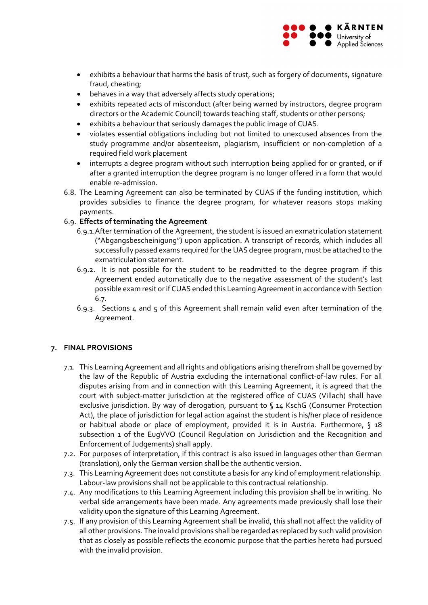

- exhibits a behaviour that harms the basis of trust, such as forgery of documents, signature fraud, cheating;
- behaves in a way that adversely affects study operations;
- exhibits repeated acts of misconduct (after being warned by instructors, degree program directors or the Academic Council) towards teaching staff, students or other persons;
- exhibits a behaviour that seriously damages the public image of CUAS.
- violates essential obligations including but not limited to unexcused absences from the study programme and/or absenteeism, plagiarism, insufficient or non‐completion of a required field work placement
- interrupts a degree program without such interruption being applied for or granted, or if after a granted interruption the degree program is no longer offered in a form that would enable re‐admission.
- 6.8. The Learning Agreement can also be terminated by CUAS if the funding institution, which provides subsidies to finance the degree program, for whatever reasons stops making payments.

# 6.9. **Effects of terminating the Agreement**

- 6.9.1.After termination of the Agreement, the student is issued an exmatriculation statement ("Abgangsbescheinigung") upon application. A transcript of records, which includes all successfully passed exams required forthe UAS degree program, must be attached to the exmatriculation statement.
- 6.9.2. It is not possible for the student to be readmitted to the degree program if this Agreement ended automatically due to the negative assessment of the student's last possible exam resit orif CUAS ended this Learning Agreementin accordance with Section 6.7.
- 6.9.3. Sections 4 and 5 of this Agreement shall remain valid even after termination of the Agreement.

# **7. FINAL PROVISIONS**

- 7.1. This Learning Agreement and all rights and obligations arising therefrom shall be governed by the law of the Republic of Austria excluding the international conflict‐of‐law rules. For all disputes arising from and in connection with this Learning Agreement, it is agreed that the court with subject-matter jurisdiction at the registered office of CUAS (Villach) shall have exclusive jurisdiction. By way of derogation, pursuant to § 14 KschG (Consumer Protection Act), the place of jurisdiction for legal action against the student is his/her place of residence or habitual abode or place of employment, provided it is in Austria. Furthermore, § 18 subsection 1 of the EugVVO (Council Regulation on Jurisdiction and the Recognition and Enforcement of Judgements) shall apply.
- 7.2. For purposes of interpretation, if this contract is also issued in languages other than German (translation), only the German version shall be the authentic version.
- 7.3. This Learning Agreement does not constitute a basis for any kind of employment relationship. Labour‐law provisions shall not be applicable to this contractual relationship.
- 7.4. Any modifications to this Learning Agreement including this provision shall be in writing. No verbal side arrangements have been made. Any agreements made previously shall lose their validity upon the signature of this Learning Agreement.
- 7.5. If any provision of this Learning Agreement shall be invalid, this shall not affect the validity of all other provisions. The invalid provisions shall be regarded as replaced by such valid provision that as closely as possible reflects the economic purpose that the parties hereto had pursued with the invalid provision.